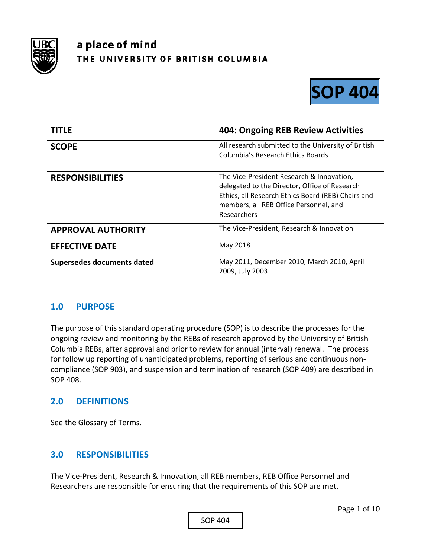

# a place of mind THE UNIVERSITY OF BRITISH COLUMBIA



| <b>TITLE</b>               | <b>404: Ongoing REB Review Activities</b>                                                                                                                                                                 |
|----------------------------|-----------------------------------------------------------------------------------------------------------------------------------------------------------------------------------------------------------|
| <b>SCOPE</b>               | All research submitted to the University of British<br>Columbia's Research Ethics Boards                                                                                                                  |
| <b>RESPONSIBILITIES</b>    | The Vice-President Research & Innovation,<br>delegated to the Director, Office of Research<br>Ethics, all Research Ethics Board (REB) Chairs and<br>members, all REB Office Personnel, and<br>Researchers |
| <b>APPROVAL AUTHORITY</b>  | The Vice-President, Research & Innovation                                                                                                                                                                 |
| <b>EFFECTIVE DATE</b>      | May 2018                                                                                                                                                                                                  |
| Supersedes documents dated | May 2011, December 2010, March 2010, April<br>2009, July 2003                                                                                                                                             |

## **1.0 PURPOSE**

The purpose of this standard operating procedure (SOP) is to describe the processes for the ongoing review and monitoring by the REBs of research approved by the University of British Columbia REBs, after approval and prior to review for annual (interval) renewal. The process for follow up reporting of unanticipated problems, reporting of serious and continuous non‐ compliance (SOP 903), and suspension and termination of research (SOP 409) are described in SOP 408.

## **2.0 DEFINITIONS**

See the Glossary of Terms.

## **3.0 RESPONSIBILITIES**

The Vice‐President, Research & Innovation, all REB members, REB Office Personnel and Researchers are responsible for ensuring that the requirements of this SOP are met.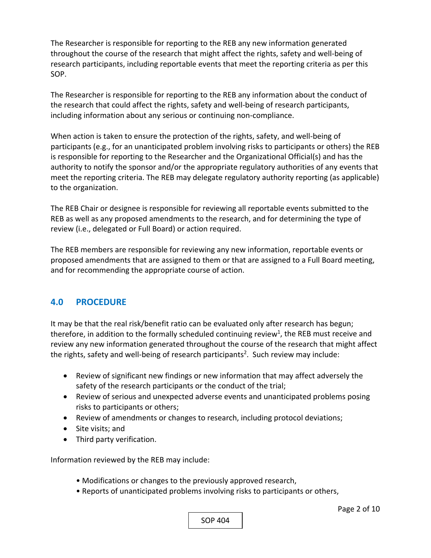The Researcher is responsible for reporting to the REB any new information generated throughout the course of the research that might affect the rights, safety and well‐being of research participants, including reportable events that meet the reporting criteria as per this SOP.

The Researcher is responsible for reporting to the REB any information about the conduct of the research that could affect the rights, safety and well‐being of research participants, including information about any serious or continuing non‐compliance.

When action is taken to ensure the protection of the rights, safety, and well-being of participants (e.g., for an unanticipated problem involving risks to participants or others) the REB is responsible for reporting to the Researcher and the Organizational Official(s) and has the authority to notify the sponsor and/or the appropriate regulatory authorities of any events that meet the reporting criteria. The REB may delegate regulatory authority reporting (as applicable) to the organization.

The REB Chair or designee is responsible for reviewing all reportable events submitted to the REB as well as any proposed amendments to the research, and for determining the type of review (i.e., delegated or Full Board) or action required.

The REB members are responsible for reviewing any new information, reportable events or proposed amendments that are assigned to them or that are assigned to a Full Board meeting, and for recommending the appropriate course of action.

#### **4.0 PROCEDURE**

It may be that the real risk/benefit ratio can be evaluated only after research has begun; therefore, in addition to the formally scheduled continuing review<sup>1</sup>, the REB must receive and review any new information generated throughout the course of the research that might affect the rights, safety and well-being of research participants<sup>2</sup>. Such review may include:

- Review of significant new findings or new information that may affect adversely the safety of the research participants or the conduct of the trial;
- Review of serious and unexpected adverse events and unanticipated problems posing risks to participants or others;
- Review of amendments or changes to research, including protocol deviations;
- Site visits; and
- Third party verification.

Information reviewed by the REB may include:

- Modifications or changes to the previously approved research,
- Reports of unanticipated problems involving risks to participants or others,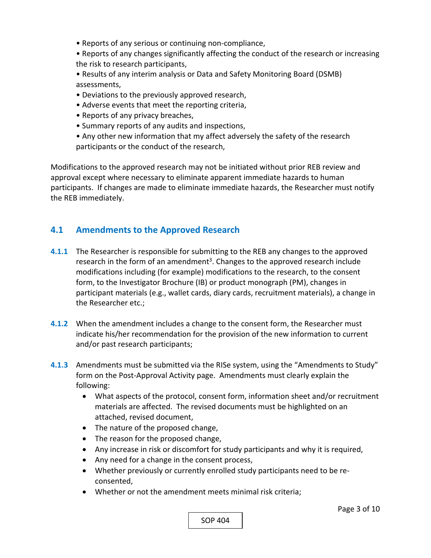- Reports of any serious or continuing non‐compliance,
- Reports of any changes significantly affecting the conduct of the research or increasing the risk to research participants,
- Results of any interim analysis or Data and Safety Monitoring Board (DSMB) assessments,
- Deviations to the previously approved research,
- Adverse events that meet the reporting criteria,
- Reports of any privacy breaches,
- Summary reports of any audits and inspections,
- Any other new information that my affect adversely the safety of the research participants or the conduct of the research,

Modifications to the approved research may not be initiated without prior REB review and approval except where necessary to eliminate apparent immediate hazards to human participants. If changes are made to eliminate immediate hazards, the Researcher must notify the REB immediately.

### **4.1 Amendments to the Approved Research**

- **4.1.1** The Researcher is responsible for submitting to the REB any changes to the approved research in the form of an amendment<sup>3</sup>. Changes to the approved research include modifications including (for example) modifications to the research, to the consent form, to the Investigator Brochure (IB) or product monograph (PM), changes in participant materials (e.g., wallet cards, diary cards, recruitment materials), a change in the Researcher etc.;
- **4.1.2** When the amendment includes a change to the consent form, the Researcher must indicate his/her recommendation for the provision of the new information to current and/or past research participants;
- **4.1.3**  Amendments must be submitted via the RISe system, using the "Amendments to Study" form on the Post-Approval Activity page. Amendments must clearly explain the following:
	- What aspects of the protocol, consent form, information sheet and/or recruitment materials are affected. The revised documents must be highlighted on an attached, revised document,
	- The nature of the proposed change,
	- The reason for the proposed change,
	- Any increase in risk or discomfort for study participants and why it is required,
	- Any need for a change in the consent process,
	- Whether previously or currently enrolled study participants need to be reconsented,
	- Whether or not the amendment meets minimal risk criteria;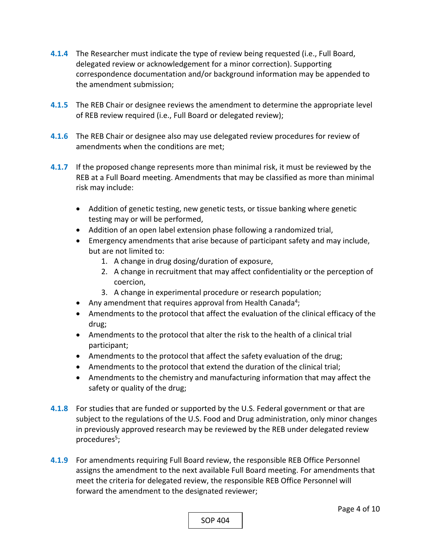- **4.1.4**  The Researcher must indicate the type of review being requested (i.e., Full Board, delegated review or acknowledgement for a minor correction). Supporting correspondence documentation and/or background information may be appended to the amendment submission;
- **4.1.5**  The REB Chair or designee reviews the amendment to determine the appropriate level of REB review required (i.e., Full Board or delegated review);
- **4.1.6**  The REB Chair or designee also may use delegated review procedures for review of amendments when the conditions are met;
- **4.1.7**  If the proposed change represents more than minimal risk, it must be reviewed by the REB at a Full Board meeting. Amendments that may be classified as more than minimal risk may include:
	- Addition of genetic testing, new genetic tests, or tissue banking where genetic testing may or will be performed,
	- Addition of an open label extension phase following a randomized trial,
	- Emergency amendments that arise because of participant safety and may include, but are not limited to:
		- 1. A change in drug dosing/duration of exposure,
		- 2. A change in recruitment that may affect confidentiality or the perception of coercion,
		- 3. A change in experimental procedure or research population;
	- Any amendment that requires approval from Health Canada<sup>4</sup>;
	- Amendments to the protocol that affect the evaluation of the clinical efficacy of the drug;
	- Amendments to the protocol that alter the risk to the health of a clinical trial participant;
	- Amendments to the protocol that affect the safety evaluation of the drug;
	- Amendments to the protocol that extend the duration of the clinical trial;
	- Amendments to the chemistry and manufacturing information that may affect the safety or quality of the drug;
- **4.1.8**  For studies that are funded or supported by the U.S. Federal government or that are subject to the regulations of the U.S. Food and Drug administration, only minor changes in previously approved research may be reviewed by the REB under delegated review procedures<sup>5</sup>;
- **4.1.9**  For amendments requiring Full Board review, the responsible REB Office Personnel assigns the amendment to the next available Full Board meeting. For amendments that meet the criteria for delegated review, the responsible REB Office Personnel will forward the amendment to the designated reviewer;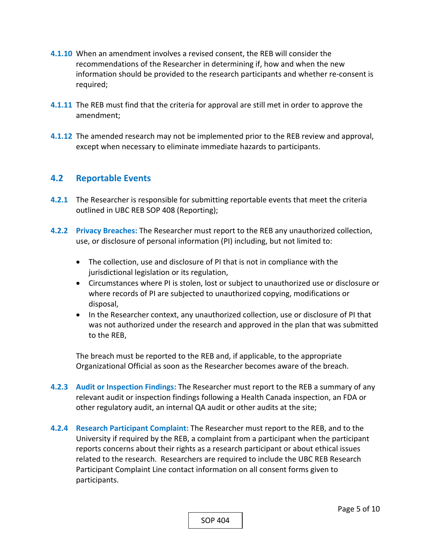- **4.1.10**  When an amendment involves a revised consent, the REB will consider the recommendations of the Researcher in determining if, how and when the new information should be provided to the research participants and whether re‐consent is required;
- **4.1.11**  The REB must find that the criteria for approval are still met in order to approve the amendment;
- **4.1.12**  The amended research may not be implemented prior to the REB review and approval, except when necessary to eliminate immediate hazards to participants.

#### **4.2 Reportable Events**

- **4.2.1** The Researcher is responsible for submitting reportable events that meet the criteria outlined in UBC REB SOP 408 (Reporting);
- **4.2.2 Privacy Breaches:** The Researcher must report to the REB any unauthorized collection, use, or disclosure of personal information (PI) including, but not limited to:
	- The collection, use and disclosure of PI that is not in compliance with the jurisdictional legislation or its regulation,
	- Circumstances where PI is stolen, lost or subject to unauthorized use or disclosure or where records of PI are subjected to unauthorized copying, modifications or disposal,
	- In the Researcher context, any unauthorized collection, use or disclosure of PI that was not authorized under the research and approved in the plan that was submitted to the REB,

The breach must be reported to the REB and, if applicable, to the appropriate Organizational Official as soon as the Researcher becomes aware of the breach.

- **4.2.3 Audit or Inspection Findings:** The Researcher must report to the REB a summary of any relevant audit or inspection findings following a Health Canada inspection, an FDA or other regulatory audit, an internal QA audit or other audits at the site;
- **4.2.4 Research Participant Complaint:** The Researcher must report to the REB, and to the University if required by the REB, a complaint from a participant when the participant reports concerns about their rights as a research participant or about ethical issues related to the research. Researchers are required to include the UBC REB Research Participant Complaint Line contact information on all consent forms given to participants.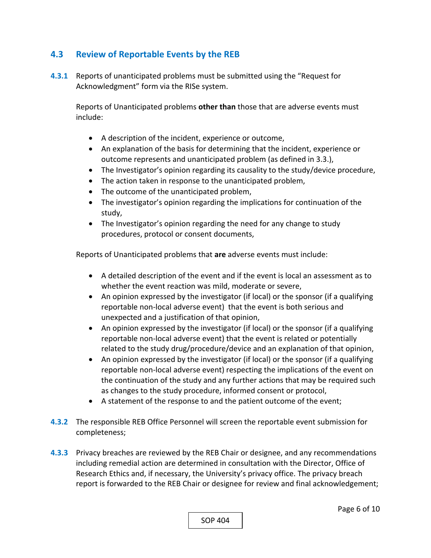## **4.3 Review of Reportable Events by the REB**

**4.3.1** Reports of unanticipated problems must be submitted using the "Request for Acknowledgment" form via the RISe system.

Reports of Unanticipated problems **other than** those that are adverse events must include:

- A description of the incident, experience or outcome,
- An explanation of the basis for determining that the incident, experience or outcome represents and unanticipated problem (as defined in 3.3.),
- The Investigator's opinion regarding its causality to the study/device procedure,
- The action taken in response to the unanticipated problem,
- The outcome of the unanticipated problem,
- The investigator's opinion regarding the implications for continuation of the study,
- The Investigator's opinion regarding the need for any change to study procedures, protocol or consent documents,

Reports of Unanticipated problems that **are** adverse events must include:

- A detailed description of the event and if the event is local an assessment as to whether the event reaction was mild, moderate or severe,
- An opinion expressed by the investigator (if local) or the sponsor (if a qualifying reportable non‐local adverse event) that the event is both serious and unexpected and a justification of that opinion,
- An opinion expressed by the investigator (if local) or the sponsor (if a qualifying reportable non‐local adverse event) that the event is related or potentially related to the study drug/procedure/device and an explanation of that opinion,
- An opinion expressed by the investigator (if local) or the sponsor (if a qualifying reportable non‐local adverse event) respecting the implications of the event on the continuation of the study and any further actions that may be required such as changes to the study procedure, informed consent or protocol,
- A statement of the response to and the patient outcome of the event;
- **4.3.2** The responsible REB Office Personnel will screen the reportable event submission for completeness;
- **4.3.3** Privacy breaches are reviewed by the REB Chair or designee, and any recommendations including remedial action are determined in consultation with the Director, Office of Research Ethics and, if necessary, the University's privacy office. The privacy breach report is forwarded to the REB Chair or designee for review and final acknowledgement;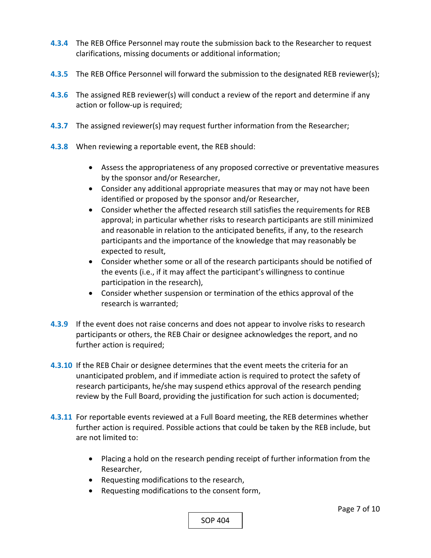- **4.3.4**  The REB Office Personnel may route the submission back to the Researcher to request clarifications, missing documents or additional information;
- **4.3.5**  The REB Office Personnel will forward the submission to the designated REB reviewer(s);
- **4.3.6**  The assigned REB reviewer(s) will conduct a review of the report and determine if any action or follow‐up is required;
- **4.3.7**  The assigned reviewer(s) may request further information from the Researcher;
- **4.3.8**  When reviewing a reportable event, the REB should:
	- Assess the appropriateness of any proposed corrective or preventative measures by the sponsor and/or Researcher,
	- Consider any additional appropriate measures that may or may not have been identified or proposed by the sponsor and/or Researcher,
	- Consider whether the affected research still satisfies the requirements for REB approval; in particular whether risks to research participants are still minimized and reasonable in relation to the anticipated benefits, if any, to the research participants and the importance of the knowledge that may reasonably be expected to result,
	- Consider whether some or all of the research participants should be notified of the events (i.e., if it may affect the participant's willingness to continue participation in the research),
	- Consider whether suspension or termination of the ethics approval of the research is warranted;
- **4.3.9**  If the event does not raise concerns and does not appear to involve risks to research participants or others, the REB Chair or designee acknowledges the report, and no further action is required;
- **4.3.10**  If the REB Chair or designee determines that the event meets the criteria for an unanticipated problem, and if immediate action is required to protect the safety of research participants, he/she may suspend ethics approval of the research pending review by the Full Board, providing the justification for such action is documented;
- **4.3.11**  For reportable events reviewed at a Full Board meeting, the REB determines whether further action is required. Possible actions that could be taken by the REB include, but are not limited to:
	- Placing a hold on the research pending receipt of further information from the Researcher,
	- Requesting modifications to the research,
	- Requesting modifications to the consent form,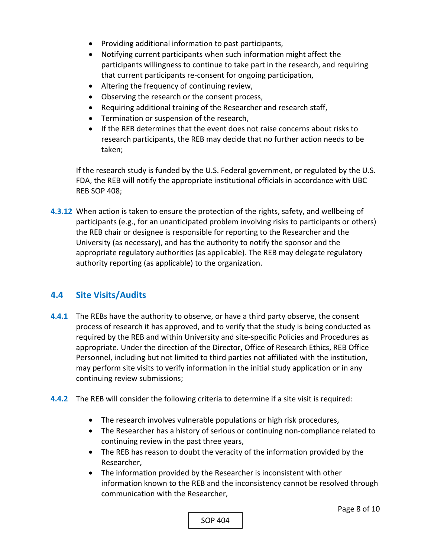- Providing additional information to past participants,
- Notifying current participants when such information might affect the participants willingness to continue to take part in the research, and requiring that current participants re‐consent for ongoing participation,
- Altering the frequency of continuing review,
- Observing the research or the consent process,
- Requiring additional training of the Researcher and research staff,
- **•** Termination or suspension of the research,
- If the REB determines that the event does not raise concerns about risks to research participants, the REB may decide that no further action needs to be taken;

If the research study is funded by the U.S. Federal government, or regulated by the U.S. FDA, the REB will notify the appropriate institutional officials in accordance with UBC REB SOP 408;

**4.3.12**  When action is taken to ensure the protection of the rights, safety, and wellbeing of participants (e.g., for an unanticipated problem involving risks to participants or others) the REB chair or designee is responsible for reporting to the Researcher and the University (as necessary), and has the authority to notify the sponsor and the appropriate regulatory authorities (as applicable). The REB may delegate regulatory authority reporting (as applicable) to the organization.

#### **4.4 Site Visits/Audits**

- **4.4.1** The REBs have the authority to observe, or have a third party observe, the consent process of research it has approved, and to verify that the study is being conducted as required by the REB and within University and site‐specific Policies and Procedures as appropriate. Under the direction of the Director, Office of Research Ethics, REB Office Personnel, including but not limited to third parties not affiliated with the institution, may perform site visits to verify information in the initial study application or in any continuing review submissions;
- **4.4.2** The REB will consider the following criteria to determine if a site visit is required:
	- The research involves vulnerable populations or high risk procedures,
	- The Researcher has a history of serious or continuing non-compliance related to continuing review in the past three years,
	- The REB has reason to doubt the veracity of the information provided by the Researcher,
	- The information provided by the Researcher is inconsistent with other information known to the REB and the inconsistency cannot be resolved through communication with the Researcher,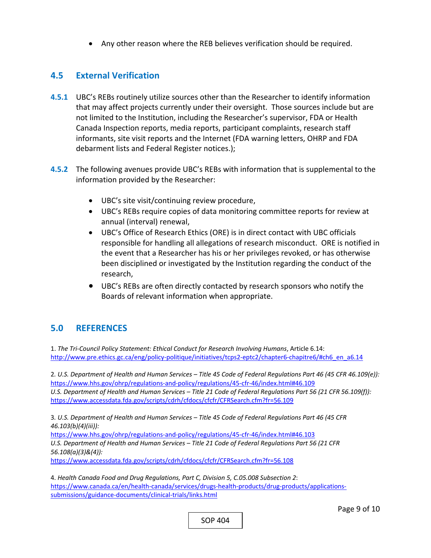Any other reason where the REB believes verification should be required.

#### **4.5 External Verification**

- **4.5.1** UBC's REBs routinely utilize sources other than the Researcher to identify information that may affect projects currently under their oversight. Those sources include but are not limited to the Institution, including the Researcher's supervisor, FDA or Health Canada Inspection reports, media reports, participant complaints, research staff informants, site visit reports and the Internet (FDA warning letters, OHRP and FDA debarment lists and Federal Register notices.);
- **4.5.2** The following avenues provide UBC's REBs with information that is supplemental to the information provided by the Researcher:
	- UBC's site visit/continuing review procedure,
	- UBC's REBs require copies of data monitoring committee reports for review at annual (interval) renewal,
	- UBC's Office of Research Ethics (ORE) is in direct contact with UBC officials responsible for handling all allegations of research misconduct. ORE is notified in the event that a Researcher has his or her privileges revoked, or has otherwise been disciplined or investigated by the Institution regarding the conduct of the research,
	- UBC's REBs are often directly contacted by research sponsors who notify the Boards of relevant information when appropriate.

## **5.0 REFERENCES**

1. *The Tri‐Council Policy Statement: Ethical Conduct for Research Involving Humans*, Article 6.14: http://www.pre.ethics.gc.ca/eng/policy-politique/initiatives/tcps2-eptc2/chapter6-chapitre6/#ch6\_en\_a6.14

2*. U.S. Department of Health and Human Services – Title 45 Code of Federal Regulations Part 46 (45 CFR 46.109(e)):*  https://www.hhs.gov/ohrp/regulations‐and‐policy/regulations/45‐cfr‐46/index.html#46.109 *U.S. Department of Health and Human Services – Title 21 Code of Federal Regulations Part 56 (21 CFR 56.109(f)):*  https://www.accessdata.fda.gov/scripts/cdrh/cfdocs/cfcfr/CFRSearch.cfm?fr=56.109

3*. U.S. Department of Health and Human Services – Title 45 Code of Federal Regulations Part 46 (45 CFR 46.103(b)(4)(iii)):* 

https://www.hhs.gov/ohrp/regulations‐and‐policy/regulations/45‐cfr‐46/index.html#46.103 *U.S. Department of Health and Human Services – Title 21 Code of Federal Regulations Part 56 (21 CFR 56.108(a)(3)&(4)):*

https://www.accessdata.fda.gov/scripts/cdrh/cfdocs/cfcfr/CFRSearch.cfm?fr=56.108

4. *Health Canada Food and Drug Regulations, Part C, Division 5, C.05.008 Subsection 2*: https://www.canada.ca/en/health-canada/services/drugs-health-products/drug-products/applicationssubmissions/guidance‐documents/clinical‐trials/links.html